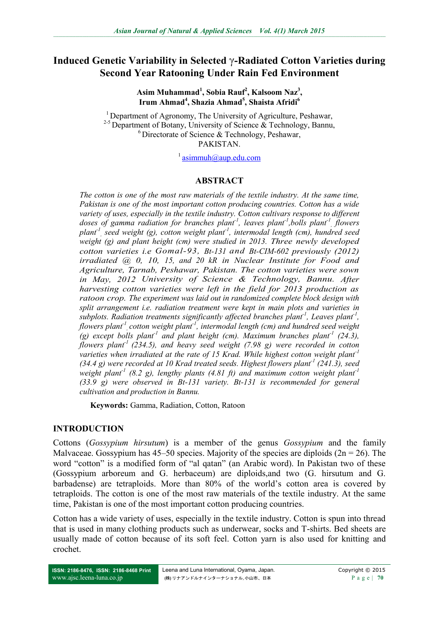# **Induced Genetic Variability in Selected** γ**-Radiated Cotton Varieties during Second Year Ratooning Under Rain Fed Environment**

**Asim Muhammad<sup>1</sup> , Sobia Rauf<sup>2</sup> , Kalsoom Naz<sup>3</sup> , Irum Ahmad<sup>4</sup> , Shazia Ahmad<sup>5</sup> , Shaista Afridi<sup>6</sup>**

<sup>1</sup> Department of Agronomy, The University of Agriculture, Peshawar, <sup>2-5</sup> Department of Botany, University of Science & Technology, Bannu, <sup>6</sup> Directorate of Science & Technology, Peshawar, **PAKISTAN** 

<sup>1</sup> [asimmuh@aup.edu.com](mailto:asimmuh@aup.edu.com)

### **ABSTRACT**

*The cotton is one of the most raw materials of the textile industry. At the same time, Pakistan is one of the most important cotton producing countries. Cotton has a wide variety of uses, especially in the textile industry. Cotton cultivars response to different doses of gamma radiation for branches plant-1 , leaves plant-1 ,bolls plant-1 , flowers plant-1 , seed weight (g), cotton weight plant-1 , intermodal length (cm), hundred seed weight (g) and plant height (cm) were studied in 2013. Three newly developed cotton varieties i.e Gomal-93, Bt-131 and Bt-CIM-602 previously (2012) irradiated @ 0, 10, 15, and 20 kR in Nuclear Institute for Food and Agriculture, Tarnab, Peshawar, Pakistan. The cotton varieties were sown in May, 2012 University of Science & Technology, Bannu. After harvesting cotton varieties were left in the field for 2013 production as ratoon crop. The experiment was laid out in randomized complete block design with split arrangement i.e. radiation treatment were kept in main plots and varieties in subplots. Radiation treatments significantly affected branches plant<sup>1</sup>, Leaves plant<sup>1</sup>, flowers plant-1 , cotton weight plant-1 , intermodal length (cm) and hundred seed weight*  (g) except bolls plant<sup>1</sup> and plant height (cm). Maximum branches plant<sup>1</sup> (24.3), *flowers plant-1 (234.5), and heavy seed weight (7.98 g) were recorded in cotton varieties when irradiated at the rate of 15 Krad. While highest cotton weight plant-1 (34.4 g) were recorded at 10 Krad treated seeds. Highest flowers plant-1 (241.3), seed weight plant-1 (8.2 g), lengthy plants (4.81 ft) and maximum cotton weight plant-1 (33.9 g) were observed in Bt-131 variety. Bt-131 is recommended for general cultivation and production in Bannu.*

**Keywords:** Gamma, Radiation, Cotton, Ratoon

### **INTRODUCTION**

Cottons (*Gossypium hirsutum*) is a member of the genus *Gossypium* and the family Malvaceae. Gossypium has  $45-50$  species. Majority of the species are diploids  $(2n = 26)$ . The word "cotton" is a modified form of "al qatan" (an Arabic word). In Pakistan two of these (Gossypium arboreum and G. herbaceum) are diploids,and two (G. hirsutum and G. barbadense) are tetraploids. More than 80% of the world's cotton area is covered by tetraploids. The cotton is one of the most raw materials of the textile industry. At the same time, Pakistan is one of the most important cotton producing countries.

Cotton has a wide variety of uses, especially in the textile industry. Cotton is spun into thread that is used in many clothing products such as underwear, socks and T-shirts. Bed sheets are usually made of cotton because of its soft feel. Cotton yarn is also used for knitting and crochet.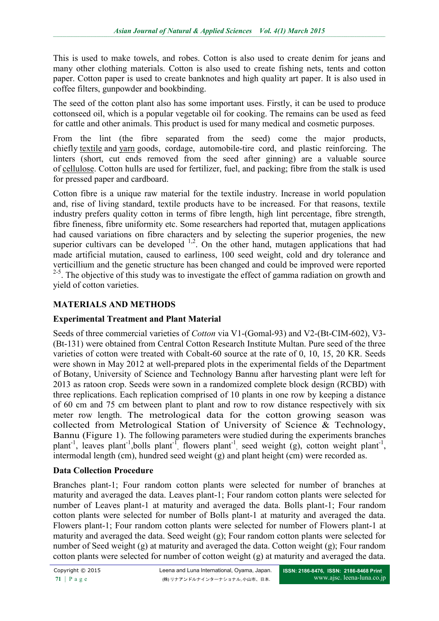This is used to make towels, and robes. Cotton is also used to create denim for jeans and many other clothing materials. Cotton is also used to create fishing nets, tents and cotton paper. Cotton paper is used to create banknotes and high quality art paper. It is also used in coffee filters, gunpowder and bookbinding.

The seed of the cotton plant also has some important uses. Firstly, it can be used to produce cottonseed oil, which is a popular vegetable oil for cooking. The remains can be used as feed for cattle and other animals. This product is used for many medical and cosmetic purposes.

From the lint (the fibre separated from the seed) come the major products, chiefly [textile](http://www.infoplease.com/encyclopedia/society/textiles.html) and [yarn](http://www.infoplease.com/encyclopedia/society/yarn.html) goods, cordage, automobile-tire cord, and plastic reinforcing. The linters (short, cut ends removed from the seed after ginning) are a valuable source of [cellulose.](http://www.infoplease.com/encyclopedia/science/cellulose.html) Cotton hulls are used for fertilizer, fuel, and packing; fibre from the stalk is used for pressed paper and cardboard.

Cotton fibre is a unique raw material for the textile industry. Increase in world population and, rise of living standard, textile products have to be increased. For that reasons, textile industry prefers quality cotton in terms of fibre length, high lint percentage, fibre strength, fibre fineness, fibre uniformity etc. Some researchers had reported that, mutagen applications had caused variations on fibre characters and by selecting the superior progenies, the new superior cultivars can be developed  $1,2$ . On the other hand, mutagen applications that had made artificial mutation, caused to earliness, 100 seed weight, cold and dry tolerance and verticillium and the genetic structure has been changed and could be improved were reported <sup>2-5</sup>. The objective of this study was to investigate the effect of gamma radiation on growth and yield of cotton varieties.

## **MATERIALS AND METHODS**

### **Experimental Treatment and Plant Material**

Seeds of three commercial varieties of *Cotton* via V1-(Gomal-93) and V2-(Bt-CIM-602), V3- (Bt-131) were obtained from Central Cotton Research Institute Multan. Pure seed of the three varieties of cotton were treated with Cobalt-60 source at the rate of 0, 10, 15, 20 KR. Seeds were shown in May 2012 at well-prepared plots in the experimental fields of the Department of Botany, University of Science and Technology Bannu after harvesting plant were left for 2013 as ratoon crop. Seeds were sown in a randomized complete block design (RCBD) with three replications. Each replication comprised of 10 plants in one row by keeping a distance of 60 cm and 75 cm between plant to plant and row to row distance respectively with six meter row length. The metrological data for the cotton growing season was collected from Metrological Station of University of Science & Technology, Bannu (Figure 1). The following parameters were studied during the experiments branches plant<sup>-1</sup>, leaves plant<sup>-1</sup>, bolls plant<sup>-1</sup>, flowers plant<sup>-1</sup>, seed weight (g), cotton weight plant<sup>-1</sup>, intermodal length (cm), hundred seed weight (g) and plant height (cm) were recorded as.

### **Data Collection Procedure**

Branches plant-1; Four random cotton plants were selected for number of branches at maturity and averaged the data. Leaves plant-1; Four random cotton plants were selected for number of Leaves plant-1 at maturity and averaged the data. Bolls plant-1; Four random cotton plants were selected for number of Bolls plant-1 at maturity and averaged the data. Flowers plant-1; Four random cotton plants were selected for number of Flowers plant-1 at maturity and averaged the data. Seed weight (g); Four random cotton plants were selected for number of Seed weight (g) at maturity and averaged the data. Cotton weight (g); Four random cotton plants were selected for number of cotton weight (g) at maturity and averaged the data.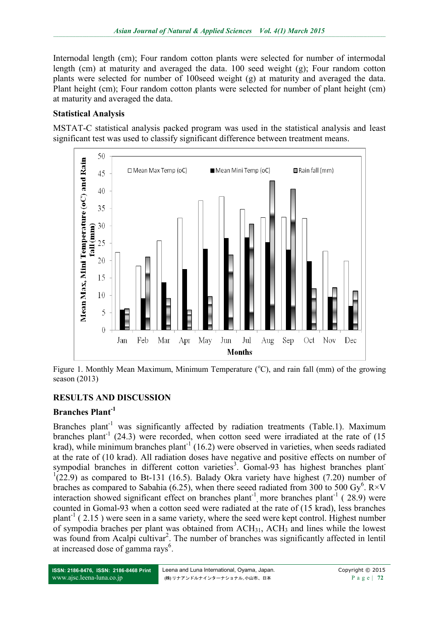Internodal length (cm); Four random cotton plants were selected for number of intermodal length (cm) at maturity and averaged the data. 100 seed weight (g); Four random cotton plants were selected for number of 100seed weight (g) at maturity and averaged the data. Plant height (cm); Four random cotton plants were selected for number of plant height (cm) at maturity and averaged the data.

### **Statistical Analysis**

MSTAT-C statistical analysis packed program was used in the statistical analysis and least significant test was used to classify significant difference between treatment means.



Figure 1. Monthly Mean Maximum, Minimum Temperature  $({}^{\circ}C)$ , and rain fall (mm) of the growing season (2013)

# **RESULTS AND DISCUSSION**

## **Branches Plant-1**

Branches plant<sup>-1</sup> was significantly affected by radiation treatments (Table.1). Maximum branches plant<sup>-1</sup> (24.3) were recorded, when cotton seed were irradiated at the rate of  $(15$ krad), while minimum branches plant<sup>-1</sup> (16.2) were observed in varieties, when seeds radiated at the rate of (10 krad). All radiation doses have negative and positive effects on number of sympodial branches in different cotton varieties<sup>3</sup>. Gomal-93 has highest branches plant  $1(22.9)$  as compared to Bt-131 (16.5). Balady Okra variety have highest (7.20) number of braches as compared to Sabahia (6.25), when there seeed radiated from 300 to 500 Gy<sup>6</sup>. R×V interaction showed significant effect on branches plant<sup>-1</sup> more branches plant<sup>-1</sup> (28.9) were counted in Gomal-93 when a cotton seed were radiated at the rate of (15 krad), less branches plant<sup>-1</sup> (2.15) were seen in a same variety, where the seed were kept control. Highest number of sympodia braches per plant was obtained from  $ACH_{31}$ ,  $ACH_3$  and lines while the lowest was found from Acalpi cultivar<sup>2</sup>. The number of branches was significantly affected in lentil at increased dose of gamma rays<sup>6</sup>.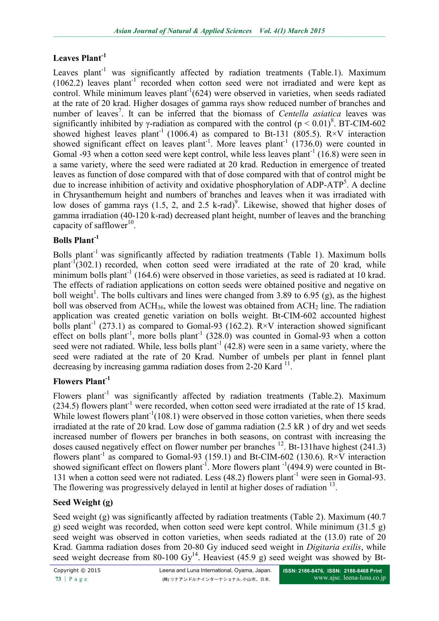# **Leaves Plant-1**

Leaves plant<sup>-1</sup> was significantly affected by radiation treatments (Table.1). Maximum  $(1062.2)$  leaves plant<sup>-1</sup> recorded when cotton seed were not irradiated and were kept as control. While minimum leaves plant<sup>-1</sup>(624) were observed in varieties, when seeds radiated at the rate of 20 krad. Higher dosages of gamma rays show reduced number of branches and number of leaves<sup>7</sup>. It can be inferred that the biomass of *Centella asiatica* leaves was significantly inhibited by  $\gamma$ -radiation as compared with the control ( $p < 0.01$ )<sup>8</sup>. BT-CIM-602 showed highest leaves plant<sup>-1</sup> (1006.4) as compared to Bt-131 (805.5).  $R \times V$  interaction showed significant effect on leaves plant<sup>-1</sup>. More leaves plant<sup>-1</sup>  $(1736.0)$  were counted in Gomal -93 when a cotton seed were kept control, while less leaves plant<sup>-1</sup> (16.8) were seen in a same variety, where the seed were radiated at 20 krad. Reduction in emergence of treated leaves as function of dose compared with that of dose compared with that of control might be due to increase inhibition of activity and oxidative phosphorylation of ADP-ATP<sup>5</sup>. A decline in Chrysanthemum height and numbers of branches and leaves when it was irradiated with low doses of gamma rays  $(1.5, 2,$  and  $2.5$  k-rad)<sup>9</sup>. Likewise, showed that higher doses of gamma irradiation (40-120 k-rad) decreased plant height, number of leaves and the branching capacity of safflower $10$ .

# **Bolls Plant-1**

Bolls plant<sup>-1</sup> was significantly affected by radiation treatments (Table 1). Maximum bolls plant<sup>-1</sup>(302.1) recorded, when cotton seed were irradiated at the rate of 20 krad, while minimum bolls plant<sup>-1</sup> (164.6) were observed in those varieties, as seed is radiated at 10 krad. The effects of radiation applications on cotton seeds were obtained positive and negative on boll weight<sup>1</sup>. The bolls cultivars and lines were changed from 3.89 to 6.95 (g), as the highest boll was observed from  $ACH_{36}$ , while the lowest was obtained from  $ACH_2$  line. The radiation application was created genetic variation on bolls weight. Bt-CIM-602 accounted highest bolls plant<sup>-1</sup> (273.1) as compared to Gomal-93 (162.2).  $R \times V$  interaction showed significant effect on bolls plant<sup>-1</sup>, more bolls plant<sup>-1</sup> (328.0) was counted in Gomal-93 when a cotton seed were not radiated. While, less bolls plant<sup>-1</sup>  $(42.8)$  were seen in a same variety, where the seed were radiated at the rate of 20 Krad. Number of umbels per plant in fennel plant decreasing by increasing gamma radiation doses from  $2-20$  Kard  $^{11}$ .

# **Flowers Plant-1**

Flowers plant<sup>-1</sup> was significantly affected by radiation treatments (Table.2). Maximum (234.5) flowers plant<sup>-1</sup> were recorded, when cotton seed were irradiated at the rate of 15 krad. While lowest flowers plant<sup>-1</sup> $(108.1)$  were observed in those cotton varieties, when there seeds irradiated at the rate of 20 krad. Low dose of gamma radiation (2.5 kR ) of dry and wet seeds increased number of flowers per branches in both seasons, on contrast with increasing the doses caused negatively effect on flower number per branches  $^{12}$ . Bt-131have highest (241.3) flowers plant<sup>-1</sup> as compared to Gomal-93 (159.1) and Bt-CIM-602 (130.6).  $R \times V$  interaction showed significant effect on flowers plant<sup>-1</sup>. More flowers plant<sup>-1</sup>(494.9) were counted in Bt-131 when a cotton seed were not radiated. Less (48.2) flowers plant<sup>-1</sup> were seen in Gomal-93. The flowering was progressively delayed in lentil at higher doses of radiation <sup>13</sup>.

## **Seed Weight (g)**

Seed weight (g) was significantly affected by radiation treatments (Table 2). Maximum (40.7) g) seed weight was recorded, when cotton seed were kept control. While minimum (31.5 g) seed weight was observed in cotton varieties, when seeds radiated at the (13.0) rate of 20 Krad. Gamma radiation doses from 20-80 Gy induced seed weight in *Digitaria exilis*, while seed weight decrease from 80-100 Gy<sup>14</sup>. Heaviest (45.9 g) seed weight was showed by Bt-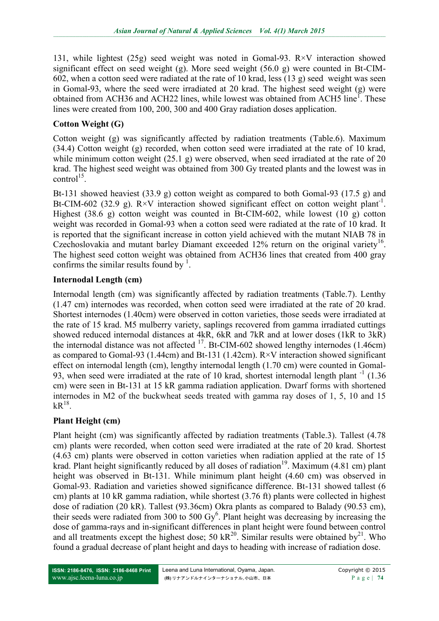131, while lightest (25g) seed weight was noted in Gomal-93. R×V interaction showed significant effect on seed weight (g). More seed weight (56.0 g) were counted in Bt-CIM-602, when a cotton seed were radiated at the rate of 10 krad, less (13 g) seed weight was seen in Gomal-93, where the seed were irradiated at 20 krad. The highest seed weight (g) were obtained from ACH36 and ACH22 lines, while lowest was obtained from ACH5 line<sup>1</sup>. These lines were created from 100, 200, 300 and 400 Gray radiation doses application.

# **Cotton Weight (G)**

Cotton weight (g) was significantly affected by radiation treatments (Table.6). Maximum (34.4) Cotton weight (g) recorded, when cotton seed were irradiated at the rate of 10 krad, while minimum cotton weight (25.1 g) were observed, when seed irradiated at the rate of 20 krad. The highest seed weight was obtained from 300 Gy treated plants and the lowest was in  $control<sup>15</sup>$ .

Bt-131 showed heaviest (33.9 g) cotton weight as compared to both Gomal-93 (17.5 g) and Bt-CIM-602 (32.9 g).  $R \times V$  interaction showed significant effect on cotton weight plant<sup>-1</sup>. Highest (38.6 g) cotton weight was counted in Bt-CIM-602, while lowest (10 g) cotton weight was recorded in Gomal-93 when a cotton seed were radiated at the rate of 10 krad. It is reported that the significant increase in cotton yield achieved with the mutant NIAB 78 in Czechoslovakia and mutant barley Diamant exceeded  $12\%$  return on the original variety<sup>16</sup>. The highest seed cotton weight was obtained from ACH36 lines that created from 400 gray confirms the similar results found by  $\frac{1}{1}$ .

# **Internodal Length (cm)**

Internodal length (cm) was significantly affected by radiation treatments (Table.7). Lenthy (1.47 cm) internodes was recorded, when cotton seed were irradiated at the rate of 20 krad. Shortest internodes (1.40cm) were observed in cotton varieties, those seeds were irradiated at the rate of 15 krad. M5 mulberry variety, saplings recovered from gamma irradiated cuttings showed reduced internodal distances at 4kR, 6kR and 7kR and at lower doses (1kR to 3kR) the internodal distance was not affected  $^{17}$ . Bt-CIM-602 showed lengthy internodes (1.46cm) as compared to Gomal-93 (1.44cm) and Bt-131 (1.42cm). R×V interaction showed significant effect on internodal length (cm), lengthy internodal length (1.70 cm) were counted in Gomal-93, when seed were irradiated at the rate of 10 krad, shortest internodal length plant<sup>-1</sup> (1.36) cm) were seen in Bt-131 at 15 kR gamma radiation application. Dwarf forms with shortened internodes in M2 of the buckwheat seeds treated with gamma ray doses of 1, 5, 10 and 15  $kR^{18}$ .

## **Plant Height (cm)**

Plant height (cm) was significantly affected by radiation treatments (Table.3). Tallest (4.78 cm) plants were recorded, when cotton seed were irradiated at the rate of 20 krad. Shortest (4.63 cm) plants were observed in cotton varieties when radiation applied at the rate of 15 krad. Plant height significantly reduced by all doses of radiation<sup>19</sup>. Maximum (4.81 cm) plant height was observed in Bt-131. While minimum plant height (4.60 cm) was observed in Gomal-93. Radiation and varieties showed significance difference. Bt-131 showed tallest (6 cm) plants at 10 kR gamma radiation, while shortest (3.76 ft) plants were collected in highest dose of radiation (20 kR). Tallest (93.36cm) Okra plants as compared to Balady (90.53 cm), their seeds were radiated from 300 to 500  $\text{Gy}^6$ . Plant height was decreasing by increasing the dose of gamma-rays and in-significant differences in plant height were found between control and all treatments except the highest dose; 50 kR<sup>20</sup>. Similar results were obtained by<sup>21</sup>. Who found a gradual decrease of plant height and days to heading with increase of radiation dose.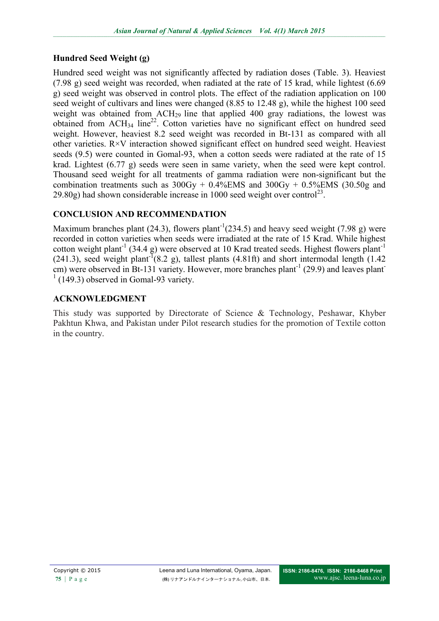# **Hundred Seed Weight (g)**

Hundred seed weight was not significantly affected by radiation doses (Table. 3). Heaviest (7.98 g) seed weight was recorded, when radiated at the rate of 15 krad, while lightest (6.69 g) seed weight was observed in control plots. The effect of the radiation application on 100 seed weight of cultivars and lines were changed (8.85 to 12.48 g), while the highest 100 seed weight was obtained from  $\text{ACH}_{29}$  line that applied 400 gray radiations, the lowest was obtained from  $ACH_{34}$  line<sup>22</sup>. Cotton varieties have no significant effect on hundred seed weight. However, heaviest 8.2 seed weight was recorded in Bt-131 as compared with all other varieties. R×V interaction showed significant effect on hundred seed weight. Heaviest seeds (9.5) were counted in Gomal-93, when a cotton seeds were radiated at the rate of 15 krad. Lightest (6.77 g) seeds were seen in same variety, when the seed were kept control. Thousand seed weight for all treatments of gamma radiation were non-significant but the combination treatments such as  $300Gy + 0.4\%$  EMS and  $300Gy + 0.5\%$  EMS (30.50g and 29.80g) had shown considerable increase in 1000 seed weight over control<sup>23</sup>.

# **CONCLUSION AND RECOMMENDATION**

Maximum branches plant (24.3), flowers plant<sup>-1</sup>(234.5) and heavy seed weight (7.98 g) were recorded in cotton varieties when seeds were irradiated at the rate of 15 Krad. While highest cotton weight plant<sup>-1</sup> (34.4 g) were observed at 10 Krad treated seeds. Highest flowers plant<sup>-1</sup>  $(241.3)$ , seed weight plant<sup>-T</sup> $(8.2 \text{ g})$ , tallest plants  $(4.81\text{ ft})$  and short intermodal length  $(1.42 \text{ m})$ cm) were observed in Bt-131 variety. However, more branches plant<sup>-1</sup> (29.9) and leaves plant  $1(149.3)$  observed in Gomal-93 variety.

## **ACKNOWLEDGMENT**

This study was supported by Directorate of Science & Technology, Peshawar, Khyber Pakhtun Khwa, and Pakistan under Pilot research studies for the promotion of Textile cotton in the country.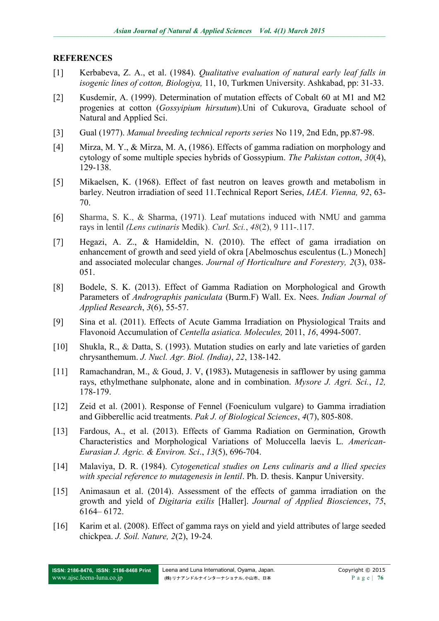#### **REFERENCES**

- [1] Kerbabeva, Z. A., et al. (1984). *Qualitative evaluation of natural early leaf falls in isogenic lines of cotton, Biologiya,* 11, 10, Turkmen University. Ashkabad, pp: 31-33.
- [2] Kusdemir, A. (1999). Determination of mutation effects of Cobalt 60 at M1 and M2 progenies at cotton (*Gossyipium hirsutum*).Uni of Cukurova, Graduate school of Natural and Applied Sci.
- [3] Gual (1977). *Manual breeding technical reports series* No 119, 2nd Edn, pp.87-98.
- [4] Mirza, M. Y., & Mirza, M. A, (1986). Effects of gamma radiation on morphology and cytology of some multiple species hybrids of Gossypium. *The Pakistan cotton*, *30*(4), 129-138.
- [5] Mikaelsen, K. (1968). Effect of fast neutron on leaves growth and metabolism in barley. Neutron irradiation of seed 11.Technical Report Series, *IAEA. Vienna, 92*, 63- 70.
- [6] Sharma, S. K., & Sharma, (1971). Leaf mutations induced with NMU and gamma rays in lentil *(Lens cutinaris* Medik). *Curl. Sci.*, *48*(2), 9 111-.117.
- [7] Hegazi, A. Z., & Hamideldin, N. (2010). The effect of gama irradiation on enhancement of growth and seed yield of okra [Abelmoschus esculentus (L.) Monech] and associated molecular changes. *Journal of Horticulture and Forestery, 2*(3), 038- 051.
- [8] Bodele, S. K. (2013). Effect of Gamma Radiation on Morphological and Growth Parameters of *Andrographis paniculata* (Burm.F) Wall. Ex. Nees. *Indian Journal of Applied Research*, *3*(6), 55-57.
- [9] Sina et al. (2011). Effects of Acute Gamma Irradiation on Physiological Traits and Flavonoid Accumulation of *Centella asiatica. Molecules,* 2011, *16*, 4994-5007.
- [10] Shukla, R., & Datta, S. (1993). Mutation studies on early and late varieties of garden chrysanthemum. *J. Nucl. Agr. Biol. (India)*, *22*, 138-142.
- [11] Ramachandran, M., & Goud, J. V, **(**1983)**.** Mutagenesis in safflower by using gamma rays, ethylmethane sulphonate, alone and in combination. *Mysore J. Agri. Sci.*, *12,* 178-179.
- [12] Zeid et al. (2001). Response of Fennel (Foeniculum vulgare) to Gamma irradiation and Gibberellic acid treatments. *Pak J. of Biological Sciences*, *4*(7), 805-808.
- [13] Fardous, A., et al. (2013). Effects of Gamma Radiation on Germination, Growth Characteristics and Morphological Variations of Moluccella laevis L. *American-Eurasian J. Agric. & Environ. Sci*., *13*(5), 696-704.
- [14] Malaviya, D. R. (1984). *Cytogenetical studies on Lens culinaris and a llied species with special reference to mutagenesis in lentil*. Ph. D. thesis. Kanpur University.
- [15] Animasaun et al. (2014). Assessment of the effects of gamma irradiation on the growth and yield of *Digitaria exilis* [Haller]. *Journal of Applied Biosciences*, *75*, 6164– 6172.
- [16] Karim et al. (2008). Effect of gamma rays on yield and yield attributes of large seeded chickpea. *J. Soil. Nature, 2*(2), 19-24*.*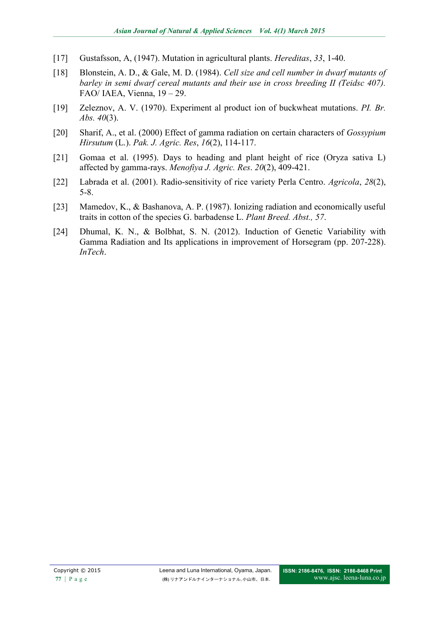- [17] Gustafsson, A, (1947). Mutation in agricultural plants. *Hereditas*, *33*, 1-40.
- [18] Blonstein, A. D., & Gale, M. D. (1984). *Cell size and cell number in dwarf mutants of barley in semi dwarf cereal mutants and their use in cross breeding II (Teidsc 407).* FAO/ IAEA, Vienna, 19 – 29.
- [19] Zeleznov, A. V. (1970). Experiment al product ion of buckwheat mutations. *PI. Br. Abs. 40*(3).
- [20] Sharif, A., et al. (2000) Effect of gamma radiation on certain characters of *Gossypium Hirsutum* (L.). *Pak. J. Agric. Res*, *16*(2), 114-117.
- [21] Gomaa et al. (1995). Days to heading and plant height of rice (Oryza sativa L) affected by gamma-rays. *Menofiya J. Agric. Res*. *20*(2), 409-421.
- [22] Labrada et al. (2001). Radio-sensitivity of rice variety Perla Centro. *Agricola*, *28*(2), 5-8.
- [23] Mamedov, K., & Bashanova, A. P. (1987). Ionizing radiation and economically useful traits in cotton of the species G. barbadense L. *Plant Breed. Abst., 57*.
- [24] Dhumal, K. N., & Bolbhat, S. N. (2012). Induction of Genetic Variability with Gamma Radiation and Its applications in improvement of Horsegram (pp. 207-228). *InTech*.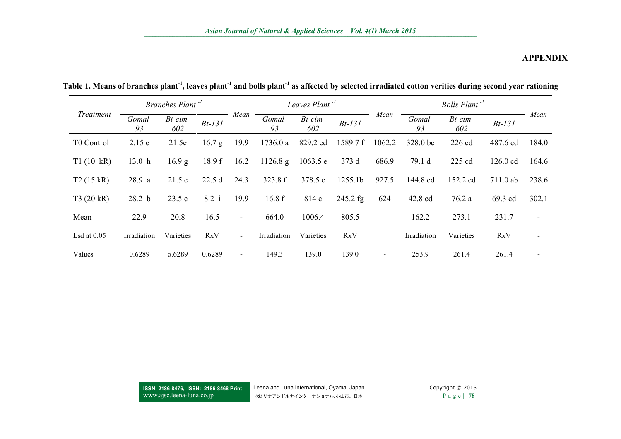| <i>Treatment</i> | Branches Plant <sup>-1</sup> |                |            |                | Leaves Plant <sup>-1</sup> |                   |            |                          |              | Bolls Plant <sup>-1</sup> |            |                          |
|------------------|------------------------------|----------------|------------|----------------|----------------------------|-------------------|------------|--------------------------|--------------|---------------------------|------------|--------------------------|
|                  | Gomal-<br>93                 | Bt-cim-<br>602 | $Bt-131$   | Mean           | Gomal-<br>93               | $Bt$ -cim-<br>602 | $Bt-131$   | Mean                     | Gomal-<br>93 | $Bt$ -cim-<br>602         | $Bt-131$   | Mean                     |
| T0 Control       | 2.15e                        | 21.5e          | 16.7 g     | 19.9           | 1736.0a                    | 829.2 cd          | 1589.7 f   | 1062.2                   | 328.0 bc     | $226$ cd                  | 487.6 cd   | 184.0                    |
| T1(10 kR)        | 13.0 <sub>h</sub>            | 16.9 g         | 18.9 f     | 16.2           | 1126.8 g                   | 1063.5 e          | 373d       | 686.9                    | 79.1 d       | 225 cd                    | $126.0$ cd | 164.6                    |
| T2(15 kR)        | 28.9a                        | 21.5e          | 22.5d      | 24.3           | 323.8 f                    | 378.5 e           | 1255.1b    | 927.5                    | 144.8 cd     | 152.2 cd                  | $711.0$ ab | 238.6                    |
| T3(20 kR)        | 28.2 <sub>b</sub>            | 23.5c          | 8.2 i      | 19.9           | 16.8f                      | 814 c             | $245.2$ fg | 624                      | 42.8 cd      | 76.2a                     | 69.3 cd    | 302.1                    |
| Mean             | 22.9                         | 20.8           | 16.5       | $\sim$         | 664.0                      | 1006.4            | 805.5      |                          | 162.2        | 273.1                     | 231.7      | $\overline{\phantom{0}}$ |
| Lsd at $0.05$    | Irradiation                  | Varieties      | <b>RxV</b> | $\sim$         | Irradiation                | Varieties         | <b>RxV</b> |                          | Irradiation  | Varieties                 | RxV        |                          |
| Values           | 0.6289                       | 0.6289         | 0.6289     | $\blacksquare$ | 149.3                      | 139.0             | 139.0      | $\overline{\phantom{0}}$ | 253.9        | 261.4                     | 261.4      |                          |

**Table 1. Means of branches plant-1 , leaves plant-1 and bolls plant-1 as affected by selected irradiated cotton verities during second year rationing**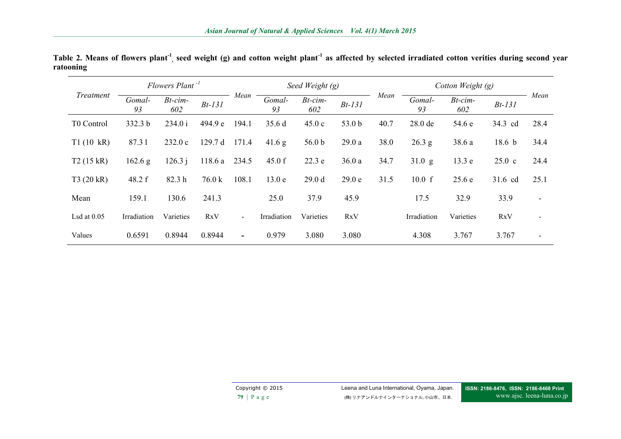**\_\_\_\_\_\_\_\_\_\_\_\_\_\_\_\_\_\_\_\_\_\_\_\_\_\_\_\_\_\_\_\_\_\_\_\_\_\_\_\_\_\_\_\_\_\_\_\_\_\_\_\_\_\_\_\_\_\_\_\_\_\_\_\_\_\_\_\_\_\_\_\_\_\_\_\_\_\_\_\_\_\_\_\_\_\_\_\_\_\_\_\_\_\_\_\_\_\_\_\_\_\_\_\_\_\_\_\_\_\_\_\_\_\_\_\_\_\_\_\_\_\_\_\_\_\_\_\_\_\_\_\_\_\_\_\_\_\_\_\_\_\_\_\_\_\_\_\_\_\_\_\_\_\_\_\_\_\_\_\_\_\_\_\_\_\_\_\_\_\_\_\_\_\_\_\_\_\_\_\_\_\_\_\_\_\_\_\_\_\_\_\_\_\_\_\_\_\_\_\_\_\_\_\_\_\_\_\_\_\_\_\_\_\_\_\_\_\_\_\_\_\_\_\_\_\_\_\_\_\_\_\_\_\_\_\_\_\_\_\_\_\_\_\_\_\_\_\_\_\_\_\_\_\_\_\_\_\_\_\_\_\_\_\_\_\_\_\_\_\_\_\_\_\_\_\_\_\_\_\_\_\_\_\_\_\_\_\_\_\_\_\_\_\_\_\_\_\_\_\_\_\_\_\_\_\_\_\_\_\_\_\_\_\_\_\_\_\_\_\_\_\_\_\_\_\_\_\_\_\_\_\_\_\_\_\_\_\_\_\_\_\_\_\_\_\_\_\_\_\_\_\_\_\_\_\_\_\_\_\_\_\_\_\_\_\_\_\_\_\_\_\_\_\_\_\_\_\_\_\_\_\_\_\_\_\_\_\_\_\_\_\_\_\_\_\_\_\_\_\_\_\_\_\_\_\_\_\_\_\_\_\_\_\_\_\_\_\_\_\_\_\_\_\_\_\_\_\_\_\_\_\_\_\_\_\_\_\_\_\_\_\_\_\_\_\_\_\_\_\_**

| <i>Treatment</i> | Flowers Plant <sup>-1</sup> |                   |            |        | Seed Weight $(g)$ |                   |            |      | Cotton Weight (g) |                   |                   |                          |
|------------------|-----------------------------|-------------------|------------|--------|-------------------|-------------------|------------|------|-------------------|-------------------|-------------------|--------------------------|
|                  | Gomal-<br>93                | $Bt$ -cim-<br>602 | $Bt-131$   | Mean   | Gomal-<br>93      | Bt-cim-<br>602    | $Bt-131$   | Mean | Gomal-<br>93      | $Bt$ -cim-<br>602 | $Bt-131$          | Mean                     |
| T0 Control       | 332.3 b                     | 234.0 i           | 494.9 e    | 194.1  | 35.6 d            | 45.0c             | 53.0 b     | 40.7 | 28.0 de           | 54.6 e            | 34.3 cd           | 28.4                     |
| T1(10 kR)        | 87.31                       | 232.0c            | 129.7 d    | 171.4  | 41.6 g            | 56.0 <sub>b</sub> | 29.0a      | 38.0 | 26.3 g            | 38.6 a            | 18.6 <sub>b</sub> | 34.4                     |
| T2(15 kR)        | 162.6 g                     | 126.3j            | 118.6 a    | 234.5  | 45.0 f            | 22.3 e            | 36.0a      | 34.7 | 31.0 g            | 13.3 e            | $25.0\text{ c}$   | 24.4                     |
| T3(20 kR)        | 48.2 f                      | 82.3h             | 76.0 k     | 108.1  | 13.0 e            | 29.0 <sub>d</sub> | 29.0 e     | 31.5 | 10.0 f            | 25.6e             | 31.6 cd           | 25.1                     |
| Mean             | 159.1                       | 130.6             | 241.3      |        | 25.0              | 37.9              | 45.9       |      | 17.5              | 32.9              | 33.9              | $\overline{\phantom{a}}$ |
| Lsd at $0.05$    | Irradiation                 | Varieties         | <b>RxV</b> | $\sim$ | Irradiation       | Varieties         | <b>RxV</b> |      | Irradiation       | Varieties         | <b>RxV</b>        | $\blacksquare$           |
| Values           | 0.6591                      | 0.8944            | 0.8944     | Ξ.     | 0.979             | 3.080             | 3.080      |      | 4.308             | 3.767             | 3.767             | $\blacksquare$           |

**Table 2. Means of flowers plant-1 , seed weight (g) and cotton weight plant-1 as affected by selected irradiated cotton verities during second year ratooning**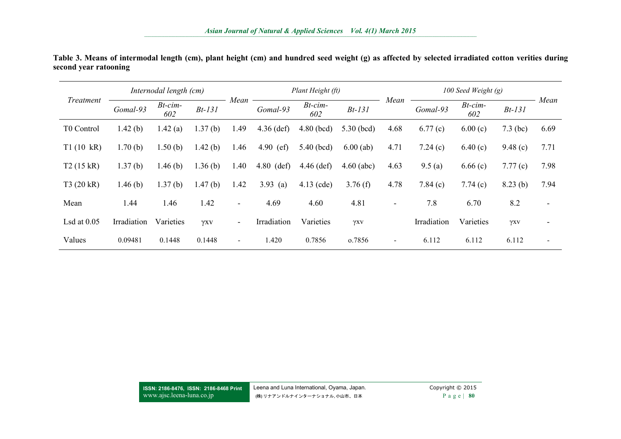| Treatment     | Internodal length (cm) |                   |             |                          | Plant Height (ft)  |                   |              |        | 100 Seed Weight $(g)$ |                   |            |                          |
|---------------|------------------------|-------------------|-------------|--------------------------|--------------------|-------------------|--------------|--------|-----------------------|-------------------|------------|--------------------------|
|               | Gomal-93               | $Bt$ -cim-<br>602 | $Bt-131$    | Mean                     | Gomal-93           | $Bt$ -cim-<br>602 | $Bt-131$     | Mean   | Gomal-93              | $Bt$ -cim-<br>602 | $Bt-131$   | Mean                     |
| T0 Control    | 1.42(b)                | 1.42(a)           | 1.37<br>(b) | 1.49                     | $4.36$ (def)       | $4.80$ (bcd)      | $5.30$ (bcd) | 4.68   | 6.77(c)               | 6.00(c)           | $7.3$ (bc) | 6.69                     |
| T1(10 kR)     | 1.70(b)                | 1.50(b)           | 1.42(b)     | 1.46                     | 4.90<br>$\in$ (ef) | $5.40$ (bcd)      | $6.00$ (ab)  | 4.71   | 7.24(c)               | 6.40(c)           | 9.48(c)    | 7.71                     |
| T2(15 kR)     | 1.37(b)                | 1.46(b)           | 1.36(b)     | 1.40                     | $4.80$ (def)       | $4.46$ (def)      | $4.60$ (abc) | 4.63   | 9.5(a)                | 6.66(c)           | 7.77(c)    | 7.98                     |
| T3 (20 kR)    | 1.46(b)                | 1.37(b)           | 1.47(b)     | 1.42                     | 3.93 (a)           | $4.13$ (cde)      | 3.76(f)      | 4.78   | 7.84(c)               | 7.74(c)           | 8.23(b)    | 7.94                     |
| Mean          | 1.44                   | 1.46              | 1.42        | $\overline{\phantom{a}}$ | 4.69               | 4.60              | 4.81         | $\sim$ | 7.8                   | 6.70              | 8.2        | $\overline{\phantom{a}}$ |
| Lsd at $0.05$ | Irradiation            | Varieties         | γxv         | $\overline{\phantom{a}}$ | Irradiation        | Varieties         | γxν          |        | Irradiation           | Varieties         | γxv        | $\overline{\phantom{a}}$ |
| Values        | 0.09481                | 0.1448            | 0.1448      | $\sim$                   | 1.420              | 0.7856            | 0.7856       | -      | 6.112                 | 6.112             | 6.112      | $\overline{\phantom{a}}$ |

| Table 3. Means of intermodal length (cm), plant height (cm) and hundred seed weight (g) as affected by selected irradiated cotton verities during |  |  |  |  |
|---------------------------------------------------------------------------------------------------------------------------------------------------|--|--|--|--|
| second year ratooning                                                                                                                             |  |  |  |  |